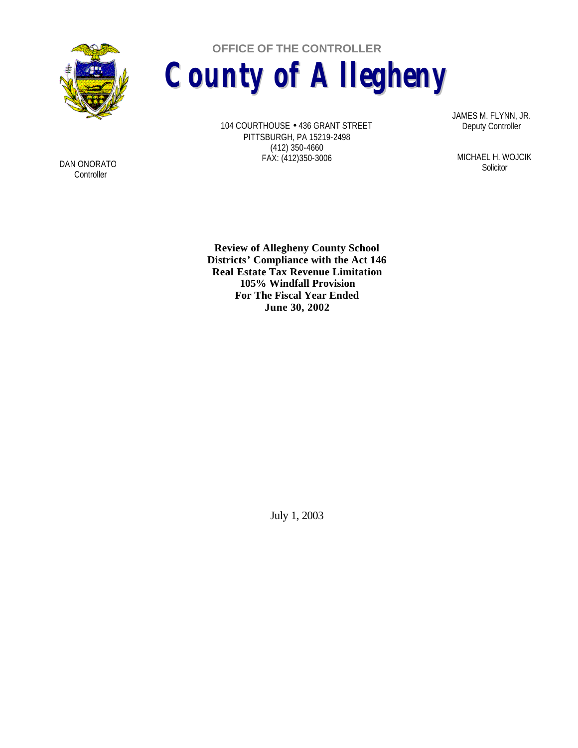

**OFFICE OF THE CONTROLLER County of Allegheny**

> 104 COURTHOUSE • 436 GRANT STREET PITTSBURGH, PA 15219-2498 (412) 350-4660 FAX: (412)350-3006

JAMES M. FLYNN, JR. Deputy Controller

MICHAEL H. WOJCIK **Solicitor** 

**Review of Allegheny County School Districts' Compliance with the Act 146 Real Estate Tax Revenue Limitation 105% Windfall Provision For The Fiscal Year Ended June 30, 2002**

July 1, 2003

DAN ONORATO **Controller**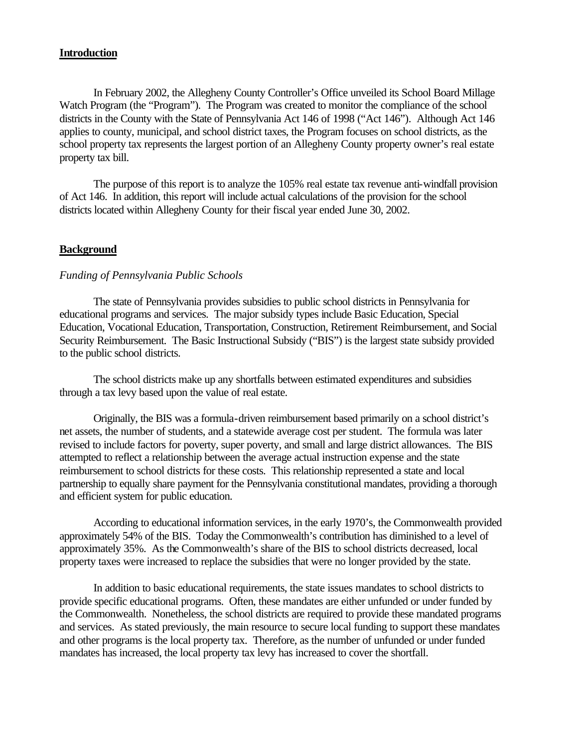### **Introduction**

In February 2002, the Allegheny County Controller's Office unveiled its School Board Millage Watch Program (the "Program"). The Program was created to monitor the compliance of the school districts in the County with the State of Pennsylvania Act 146 of 1998 ("Act 146"). Although Act 146 applies to county, municipal, and school district taxes, the Program focuses on school districts, as the school property tax represents the largest portion of an Allegheny County property owner's real estate property tax bill.

The purpose of this report is to analyze the 105% real estate tax revenue anti-windfall provision of Act 146. In addition, this report will include actual calculations of the provision for the school districts located within Allegheny County for their fiscal year ended June 30, 2002.

# **Background**

#### *Funding of Pennsylvania Public Schools*

The state of Pennsylvania provides subsidies to public school districts in Pennsylvania for educational programs and services. The major subsidy types include Basic Education, Special Education, Vocational Education, Transportation, Construction, Retirement Reimbursement, and Social Security Reimbursement. The Basic Instructional Subsidy ("BIS") is the largest state subsidy provided to the public school districts.

The school districts make up any shortfalls between estimated expenditures and subsidies through a tax levy based upon the value of real estate.

Originally, the BIS was a formula-driven reimbursement based primarily on a school district's net assets, the number of students, and a statewide average cost per student. The formula was later revised to include factors for poverty, super poverty, and small and large district allowances. The BIS attempted to reflect a relationship between the average actual instruction expense and the state reimbursement to school districts for these costs. This relationship represented a state and local partnership to equally share payment for the Pennsylvania constitutional mandates, providing a thorough and efficient system for public education.

According to educational information services, in the early 1970's, the Commonwealth provided approximately 54% of the BIS. Today the Commonwealth's contribution has diminished to a level of approximately 35%. As the Commonwealth's share of the BIS to school districts decreased, local property taxes were increased to replace the subsidies that were no longer provided by the state.

In addition to basic educational requirements, the state issues mandates to school districts to provide specific educational programs. Often, these mandates are either unfunded or under funded by the Commonwealth. Nonetheless, the school districts are required to provide these mandated programs and services. As stated previously, the main resource to secure local funding to support these mandates and other programs is the local property tax. Therefore, as the number of unfunded or under funded mandates has increased, the local property tax levy has increased to cover the shortfall.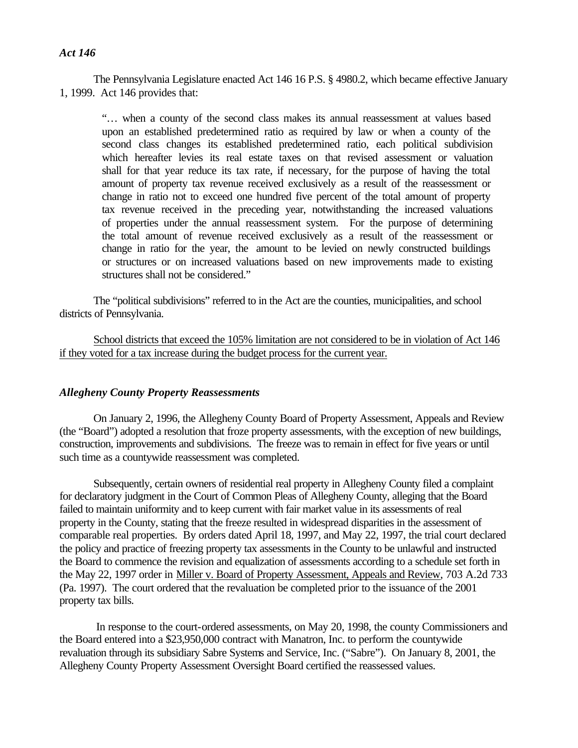# *Act 146*

The Pennsylvania Legislature enacted Act 146 16 P.S. § 4980.2, which became effective January 1, 1999. Act 146 provides that:

"… when a county of the second class makes its annual reassessment at values based upon an established predetermined ratio as required by law or when a county of the second class changes its established predetermined ratio, each political subdivision which hereafter levies its real estate taxes on that revised assessment or valuation shall for that year reduce its tax rate, if necessary, for the purpose of having the total amount of property tax revenue received exclusively as a result of the reassessment or change in ratio not to exceed one hundred five percent of the total amount of property tax revenue received in the preceding year, notwithstanding the increased valuations of properties under the annual reassessment system. For the purpose of determining the total amount of revenue received exclusively as a result of the reassessment or change in ratio for the year, the amount to be levied on newly constructed buildings or structures or on increased valuations based on new improvements made to existing structures shall not be considered."

The "political subdivisions" referred to in the Act are the counties, municipalities, and school districts of Pennsylvania.

School districts that exceed the 105% limitation are not considered to be in violation of Act 146 if they voted for a tax increase during the budget process for the current year.

#### *Allegheny County Property Reassessments*

On January 2, 1996, the Allegheny County Board of Property Assessment, Appeals and Review (the "Board") adopted a resolution that froze property assessments, with the exception of new buildings, construction, improvements and subdivisions. The freeze was to remain in effect for five years or until such time as a countywide reassessment was completed.

Subsequently, certain owners of residential real property in Allegheny County filed a complaint for declaratory judgment in the Court of Common Pleas of Allegheny County, alleging that the Board failed to maintain uniformity and to keep current with fair market value in its assessments of real property in the County, stating that the freeze resulted in widespread disparities in the assessment of comparable real properties. By orders dated April 18, 1997, and May 22, 1997, the trial court declared the policy and practice of freezing property tax assessments in the County to be unlawful and instructed the Board to commence the revision and equalization of assessments according to a schedule set forth in the May 22, 1997 order in Miller v. Board of Property Assessment, Appeals and Review, 703 A.2d 733 (Pa. 1997). The court ordered that the revaluation be completed prior to the issuance of the 2001 property tax bills.

 In response to the court-ordered assessments, on May 20, 1998, the county Commissioners and the Board entered into a \$23,950,000 contract with Manatron, Inc. to perform the countywide revaluation through its subsidiary Sabre Systems and Service, Inc. ("Sabre"). On January 8, 2001, the Allegheny County Property Assessment Oversight Board certified the reassessed values.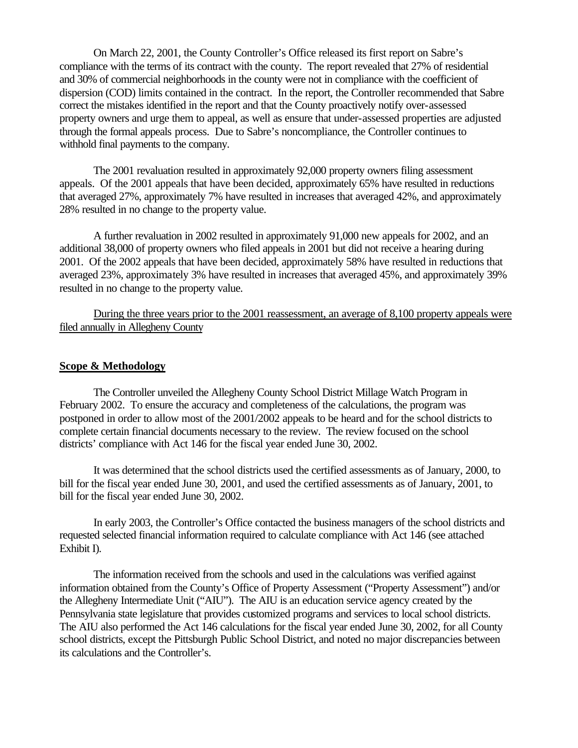On March 22, 2001, the County Controller's Office released its first report on Sabre's compliance with the terms of its contract with the county. The report revealed that 27% of residential and 30% of commercial neighborhoods in the county were not in compliance with the coefficient of dispersion (COD) limits contained in the contract. In the report, the Controller recommended that Sabre correct the mistakes identified in the report and that the County proactively notify over-assessed property owners and urge them to appeal, as well as ensure that under-assessed properties are adjusted through the formal appeals process. Due to Sabre's noncompliance, the Controller continues to withhold final payments to the company.

The 2001 revaluation resulted in approximately 92,000 property owners filing assessment appeals. Of the 2001 appeals that have been decided, approximately 65% have resulted in reductions that averaged 27%, approximately 7% have resulted in increases that averaged 42%, and approximately 28% resulted in no change to the property value.

A further revaluation in 2002 resulted in approximately 91,000 new appeals for 2002, and an additional 38,000 of property owners who filed appeals in 2001 but did not receive a hearing during 2001. Of the 2002 appeals that have been decided, approximately 58% have resulted in reductions that averaged 23%, approximately 3% have resulted in increases that averaged 45%, and approximately 39% resulted in no change to the property value.

During the three years prior to the 2001 reassessment, an average of 8,100 property appeals were filed annually in Allegheny County

#### **Scope & Methodology**

The Controller unveiled the Allegheny County School District Millage Watch Program in February 2002. To ensure the accuracy and completeness of the calculations, the program was postponed in order to allow most of the 2001/2002 appeals to be heard and for the school districts to complete certain financial documents necessary to the review. The review focused on the school districts' compliance with Act 146 for the fiscal year ended June 30, 2002.

It was determined that the school districts used the certified assessments as of January, 2000, to bill for the fiscal year ended June 30, 2001, and used the certified assessments as of January, 2001, to bill for the fiscal year ended June 30, 2002.

In early 2003, the Controller's Office contacted the business managers of the school districts and requested selected financial information required to calculate compliance with Act 146 (see attached Exhibit I).

The information received from the schools and used in the calculations was verified against information obtained from the County's Office of Property Assessment ("Property Assessment") and/or the Allegheny Intermediate Unit ("AIU"). The AIU is an education service agency created by the Pennsylvania state legislature that provides customized programs and services to local school districts. The AIU also performed the Act 146 calculations for the fiscal year ended June 30, 2002, for all County school districts, except the Pittsburgh Public School District, and noted no major discrepancies between its calculations and the Controller's.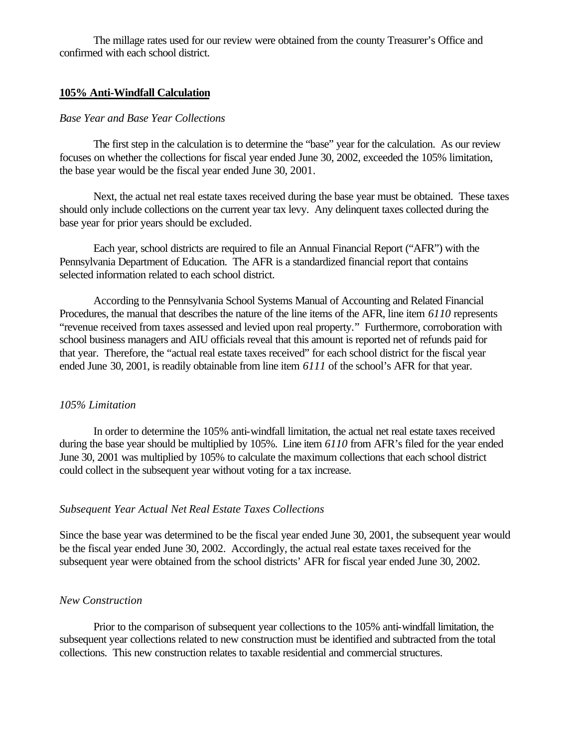The millage rates used for our review were obtained from the county Treasurer's Office and confirmed with each school district.

### **105% Anti-Windfall Calculation**

#### *Base Year and Base Year Collections*

The first step in the calculation is to determine the "base" year for the calculation. As our review focuses on whether the collections for fiscal year ended June 30, 2002, exceeded the 105% limitation, the base year would be the fiscal year ended June 30, 2001.

Next, the actual net real estate taxes received during the base year must be obtained. These taxes should only include collections on the current year tax levy. Any delinquent taxes collected during the base year for prior years should be excluded.

Each year, school districts are required to file an Annual Financial Report ("AFR") with the Pennsylvania Department of Education. The AFR is a standardized financial report that contains selected information related to each school district.

According to the Pennsylvania School Systems Manual of Accounting and Related Financial Procedures, the manual that describes the nature of the line items of the AFR, line item *6110* represents "revenue received from taxes assessed and levied upon real property." Furthermore, corroboration with school business managers and AIU officials reveal that this amount is reported net of refunds paid for that year. Therefore, the "actual real estate taxes received" for each school district for the fiscal year ended June 30, 2001, is readily obtainable from line item *6111* of the school's AFR for that year.

# *105% Limitation*

In order to determine the 105% anti-windfall limitation, the actual net real estate taxes received during the base year should be multiplied by 105%. Line item *6110* from AFR's filed for the year ended June 30, 2001 was multiplied by 105% to calculate the maximum collections that each school district could collect in the subsequent year without voting for a tax increase.

### *Subsequent Year Actual Net Real Estate Taxes Collections*

Since the base year was determined to be the fiscal year ended June 30, 2001, the subsequent year would be the fiscal year ended June 30, 2002. Accordingly, the actual real estate taxes received for the subsequent year were obtained from the school districts' AFR for fiscal year ended June 30, 2002.

#### *New Construction*

Prior to the comparison of subsequent year collections to the 105% anti-windfall limitation, the subsequent year collections related to new construction must be identified and subtracted from the total collections. This new construction relates to taxable residential and commercial structures.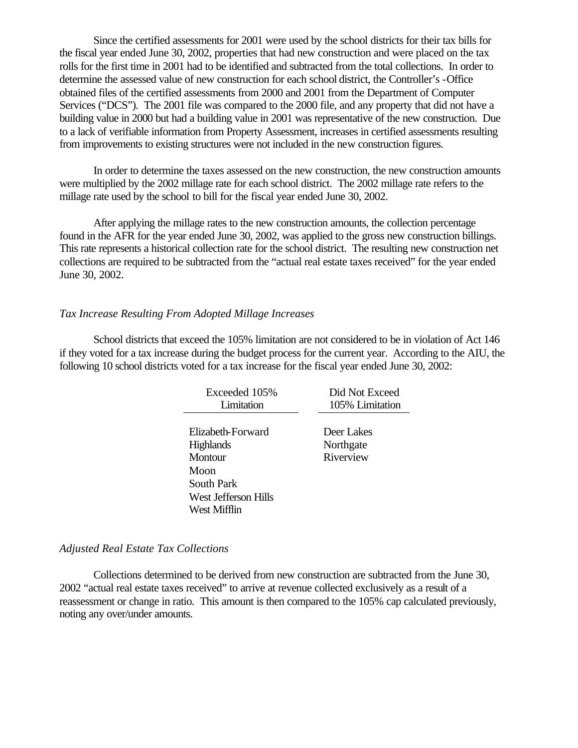Since the certified assessments for 2001 were used by the school districts for their tax bills for the fiscal year ended June 30, 2002, properties that had new construction and were placed on the tax rolls for the first time in 2001 had to be identified and subtracted from the total collections. In order to determine the assessed value of new construction for each school district, the Controller's -Office obtained files of the certified assessments from 2000 and 2001 from the Department of Computer Services ("DCS"). The 2001 file was compared to the 2000 file, and any property that did not have a building value in 2000 but had a building value in 2001 was representative of the new construction. Due to a lack of verifiable information from Property Assessment, increases in certified assessments resulting from improvements to existing structures were not included in the new construction figures.

In order to determine the taxes assessed on the new construction, the new construction amounts were multiplied by the 2002 millage rate for each school district. The 2002 millage rate refers to the millage rate used by the school to bill for the fiscal year ended June 30, 2002.

After applying the millage rates to the new construction amounts, the collection percentage found in the AFR for the year ended June 30, 2002, was applied to the gross new construction billings. This rate represents a historical collection rate for the school district. The resulting new construction net collections are required to be subtracted from the "actual real estate taxes received" for the year ended June 30, 2002.

### *Tax Increase Resulting From Adopted Millage Increases*

School districts that exceed the 105% limitation are not considered to be in violation of Act 146 if they voted for a tax increase during the budget process for the current year. According to the AIU, the following 10 school districts voted for a tax increase for the fiscal year ended June 30, 2002:

| Exceeded 105%        | Did Not Exceed  |
|----------------------|-----------------|
| Limitation           | 105% Limitation |
|                      |                 |
| Elizabeth-Forward    | Deer Lakes      |
| <b>Highlands</b>     | Northgate       |
| Montour              | Riverview       |
| Moon                 |                 |
| South Park           |                 |
| West Jefferson Hills |                 |
| West Mifflin         |                 |
|                      |                 |

#### *Adjusted Real Estate Tax Collections*

Collections determined to be derived from new construction are subtracted from the June 30, 2002 "actual real estate taxes received" to arrive at revenue collected exclusively as a result of a reassessment or change in ratio. This amount is then compared to the 105% cap calculated previously, noting any over/under amounts.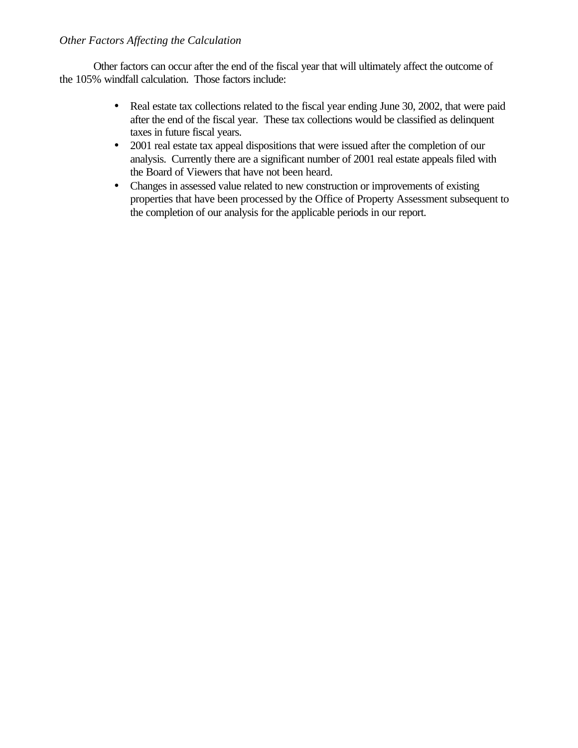# *Other Factors Affecting the Calculation*

Other factors can occur after the end of the fiscal year that will ultimately affect the outcome of the 105% windfall calculation. Those factors include:

- Real estate tax collections related to the fiscal year ending June 30, 2002, that were paid after the end of the fiscal year. These tax collections would be classified as delinquent taxes in future fiscal years.
- 2001 real estate tax appeal dispositions that were issued after the completion of our analysis. Currently there are a significant number of 2001 real estate appeals filed with the Board of Viewers that have not been heard.
- Changes in assessed value related to new construction or improvements of existing properties that have been processed by the Office of Property Assessment subsequent to the completion of our analysis for the applicable periods in our report.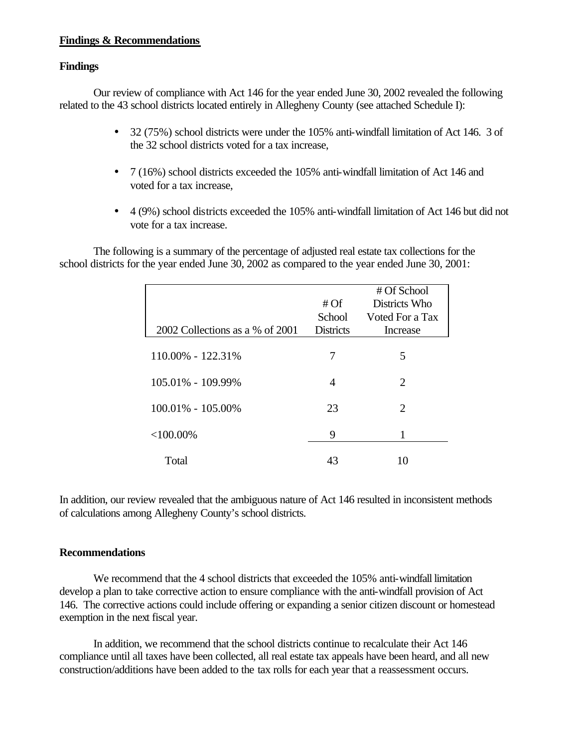# **Findings & Recommendations**

# **Findings**

Our review of compliance with Act 146 for the year ended June 30, 2002 revealed the following related to the 43 school districts located entirely in Allegheny County (see attached Schedule I):

- 32 (75%) school districts were under the 105% anti-windfall limitation of Act 146. 3 of the 32 school districts voted for a tax increase,
- 7 (16%) school districts exceeded the 105% anti-windfall limitation of Act 146 and voted for a tax increase,
- 4 (9%) school districts exceeded the 105% anti-windfall limitation of Act 146 but did not vote for a tax increase.

The following is a summary of the percentage of adjusted real estate tax collections for the school districts for the year ended June 30, 2002 as compared to the year ended June 30, 2001:

|                                 | # Of                       | # Of School<br>Districts Who |
|---------------------------------|----------------------------|------------------------------|
| 2002 Collections as a % of 2001 | School<br><b>Districts</b> | Voted For a Tax<br>Increase  |
| 110.00% - 122.31%               | 7                          | 5                            |
| 105.01% - 109.99%               | 4                          | 2                            |
| $100.01\% - 105.00\%$           | 23                         | 2                            |
| $<100.00\%$                     | 9                          |                              |
| Total                           | 43                         |                              |

In addition, our review revealed that the ambiguous nature of Act 146 resulted in inconsistent methods of calculations among Allegheny County's school districts.

#### **Recommendations**

We recommend that the 4 school districts that exceeded the 105% anti-windfall limitation develop a plan to take corrective action to ensure compliance with the anti-windfall provision of Act 146. The corrective actions could include offering or expanding a senior citizen discount or homestead exemption in the next fiscal year.

In addition, we recommend that the school districts continue to recalculate their Act 146 compliance until all taxes have been collected, all real estate tax appeals have been heard, and all new construction/additions have been added to the tax rolls for each year that a reassessment occurs.